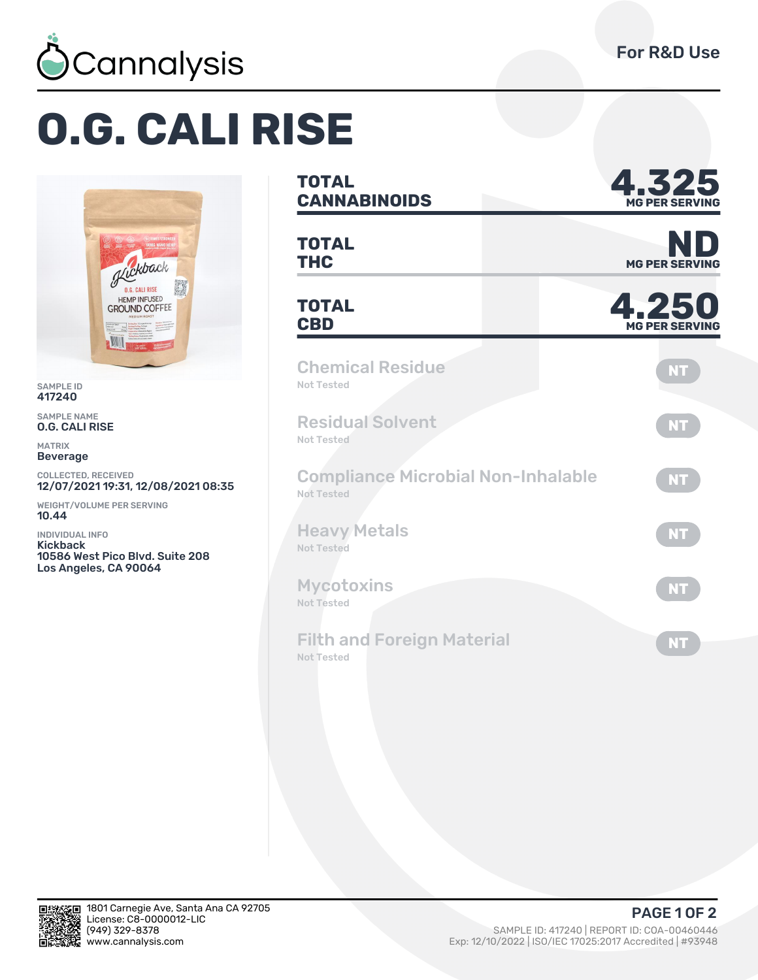

## **O.G. CALI RISE**



SAMPLE ID 417240

SAMPLE NAME O.G. CALI RISE

MATRIX Beverage

COLLECTED, RECEIVED 12/07/2021 19:31, 12/08/2021 08:35

WEIGHT/VOLUME PER SERVING 10.44

INDIVIDUAL INFO Kickback 10586 West Pico Blvd. Suite 208 Los Angeles, CA 90064

## **TOTAL CANNABINOIDS Ȁ.ǿǾȁ MG PER SERVING TOTAL TOTAL**<br> **THC** MG PER SERVING **TOTAL** TOTAL **4.250 MG PER SERVING** Chemical Residue Not Tested **NT** Residual Solvent Not Tested **NT** Compliance Microbial Non-Inhalable Not Tested **NT** Heavy Metals Not Tested **NT Mycotoxins** Not Tested **NT** Filth and Foreign Material Not Tested **NT**



**PAGE 1 OF 2**